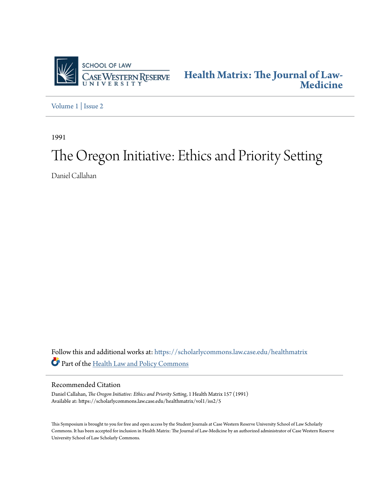

**[Health Matrix: The Journal of Law-](https://scholarlycommons.law.case.edu/healthmatrix?utm_source=scholarlycommons.law.case.edu%2Fhealthmatrix%2Fvol1%2Fiss2%2F5&utm_medium=PDF&utm_campaign=PDFCoverPages)[Medicine](https://scholarlycommons.law.case.edu/healthmatrix?utm_source=scholarlycommons.law.case.edu%2Fhealthmatrix%2Fvol1%2Fiss2%2F5&utm_medium=PDF&utm_campaign=PDFCoverPages)**

[Volume 1](https://scholarlycommons.law.case.edu/healthmatrix/vol1?utm_source=scholarlycommons.law.case.edu%2Fhealthmatrix%2Fvol1%2Fiss2%2F5&utm_medium=PDF&utm_campaign=PDFCoverPages) | [Issue 2](https://scholarlycommons.law.case.edu/healthmatrix/vol1/iss2?utm_source=scholarlycommons.law.case.edu%2Fhealthmatrix%2Fvol1%2Fiss2%2F5&utm_medium=PDF&utm_campaign=PDFCoverPages)

1991

# The Oregon Initiative: Ethics and Priority Setting

Daniel Callahan

Follow this and additional works at: [https://scholarlycommons.law.case.edu/healthmatrix](https://scholarlycommons.law.case.edu/healthmatrix?utm_source=scholarlycommons.law.case.edu%2Fhealthmatrix%2Fvol1%2Fiss2%2F5&utm_medium=PDF&utm_campaign=PDFCoverPages) Part of the [Health Law and Policy Commons](http://network.bepress.com/hgg/discipline/901?utm_source=scholarlycommons.law.case.edu%2Fhealthmatrix%2Fvol1%2Fiss2%2F5&utm_medium=PDF&utm_campaign=PDFCoverPages)

#### Recommended Citation

Daniel Callahan, *The Oregon Initiative: Ethics and Priority Setting*, 1 Health Matrix 157 (1991) Available at: https://scholarlycommons.law.case.edu/healthmatrix/vol1/iss2/5

This Symposium is brought to you for free and open access by the Student Journals at Case Western Reserve University School of Law Scholarly Commons. It has been accepted for inclusion in Health Matrix: The Journal of Law-Medicine by an authorized administrator of Case Western Reserve University School of Law Scholarly Commons.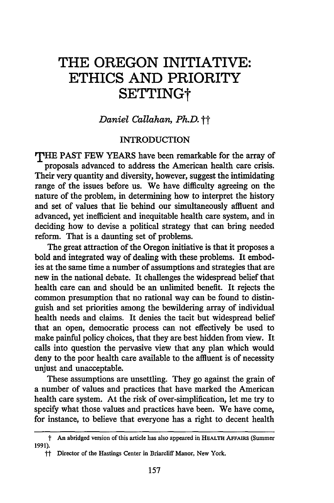## **THE OREGON INITIATIVE: ETHICS AND PRIORITY SETTINGt**

### *Daniel Callahan, Ph.D. tt*

#### INTRODUCTION

THE PAST FEW YEARS have been remarkable for the array of proposals advanced to address the American health care crisis. Their very quantity and diversity, however, suggest the intimidating range of the issues before us. We have difficulty agreeing on the nature of the problem, in determining how to interpret the history and set of values that lie behind our simultaneously affluent and advanced, yet inefficient and inequitable health care system, and in deciding how to devise a political strategy that can bring needed reform. That is a daunting set of problems.

The great attraction of the Oregon initiative is that it proposes a bold and integrated way of dealing with these problems. It embodies at the same time a number of assumptions and strategies that are new in the national debate. It challenges the widespread belief that health care can and should be an unlimited benefit. It rejects the common presumption that no rational way can be found to distinguish and set priorities among the bewildering array of individual health needs and claims. It denies the tacit but widespread belief that an open, democratic process can not effectively be used to make painful policy choices, that they are best hidden from view. It calls into question the pervasive view that any plan which would deny to the poor health care available to the affluent is of necessity unjust and unacceptable.

These assumptions are unsettling. They go against the grain of a number of values and practices that have marked the American health care system. At the risk of over-simplification, let me try to specify what those values and practices have been. We have come, for instance, to believe that everyone has a right to decent health

t An abridged version of this article has also appeared in HEALTH AFFAIRS (Summer 1991).

tt Director of the Hastings Center in Briarcliff Manor, New York.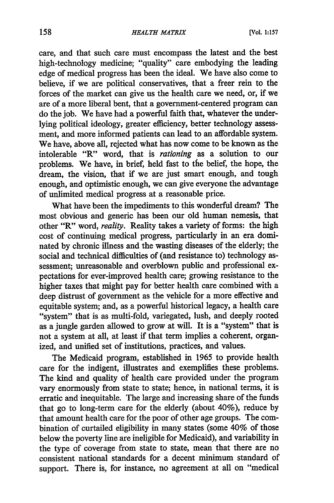care, and that such care must encompass the latest and the best high-technology medicine; "quality" care embodying the leading edge of medical progress has been the ideal. We have also come to believe, if we are political conservatives, that a freer rein to the forces of the market can give us the health care we need, or, if we are of a more liberal bent, that a government-centered program can do the job. We have had a powerful faith that, whatever the underlying political ideology, greater efficiency, better technology assessment, and more informed patients can lead to an affordable system. We have, above all, rejected what has now come to be known as the intolerable "R" word, that is *rationing* as a solution to our problems. We have, in brief, held fast to the belief, the hope, the dream, the vision, that if we are just smart enough, and tough enough, and optimistic enough, we can give everyone the advantage of unlimited medical progress at a reasonable price.

What have been the impediments to this wonderful dream? The most obvious and generic has been our old human nemesis, that other "R" word, *reality.* Reality takes a variety of forms: the high cost of continuing medical progress, particularly in an era dominated by chronic illness and the wasting diseases of the elderly; the social and technical difficulties of (and resistance to) technology assessment; unreasonable and overblown public and professional expectations for ever-improved health care; growing resistance to the higher taxes that might pay for better health care combined with a deep distrust of government as the vehicle for a more effective and equitable system; and, as a powerful historical legacy, a health care "system" that is as multi-fold, variegated, lush, and deeply rooted as a jungle garden allowed to grow at will. It is a "system" that is not a system at all, at least if that term implies a coherent, organized, and unified set of institutions, practices, and values.

The Medicaid program, established in 1965 to provide health care for the indigent, illustrates and exemplifies these problems. The kind and quality of health care provided under the program vary enormously from state to state; hence, in national terms, it is erratic and inequitable. The large and increasing share of the funds that go to long-term care for the elderly (about 40%), reduce by that amount health care for the poor of other age groups. The combination of curtailed eligibility in many states (some 40% of those below the poverty line are ineligible for Medicaid), and variability in the type of coverage from state to state, mean that there are no consistent national standards for a decent minimum standard of support. There is, for instance, no agreement at all on "medical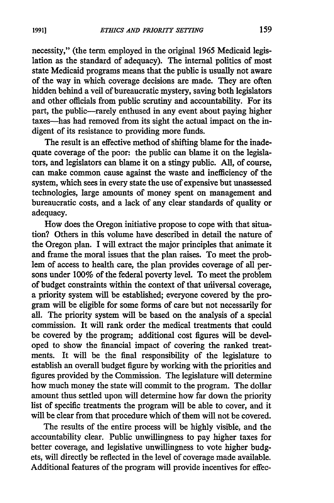necessity," (the term employed in the original 1965 Medicaid legislation as the standard of adequacy). The internal politics of most state Medicaid programs means that the public is usually not aware of the way in which coverage decisions are made. They are often hidden behind a veil of bureaucratic mystery, saving both legislators and other officials from public scrutiny and accountability. For its part, the public-rarely enthused in any event about paying higher taxes-has had removed from its sight the actual impact on the indigent of its resistance to providing more funds.

The result is an effective method of shifting blame for the inadequate coverage of the poor: the public can blame it on the legislators, and legislators can blame it on a stingy public. All, of course, can make common cause against the waste and inefficiency of the system, which sees in every state the use of expensive but unassessed technologies, large amounts of money spent on management and bureaucratic costs, and a lack of any clear standards of quality or adequacy.

How does the Oregon initiative propose to cope with that situation? Others in this volume have described in detail the nature of the Oregon plan. I will extract the major principles that animate it and frame the moral issues that the plan raises. To meet the problem of access to health care, the plan provides coverage of all persons under 100% of the federal poverty level. To meet the problem of budget constraints within the context of that uriiversal coverage, a priority system will be established; everyone covered by the program will be eligible for some forms of care but not necessarily for all. The priority system will be based on the analysis of a special commission. It will rank order the medical treatments that could be covered by the program; additional cost figures will be developed to show the financial impact of covering the ranked treatments. It will be the final responsibility of the legislature to establish an overall budget figure by working with the priorities and figures provided by the Commission. The legislature will determine how much money the state will commit to the program. The dollar amount thus settled upon will determine how far down the priority list of specific treatments the program will be able to cover, and it will be clear from that procedure which of them will not be covered.

The results of the entire process will be highly visible, and the accountability clear. Public unwillingness to pay higher taxes for better coverage, and legislative unwillingness to vote higher budgets, will directly be reflected in the level of coverage made available. Additional features of the program will provide incentives for effec-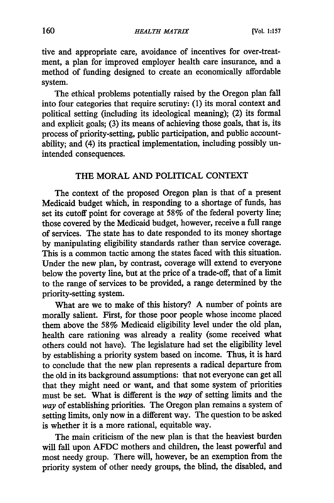tive and appropriate care, avoidance of incentives for over-treatment, a plan for improved employer health care insurance, and a method of funding designed to create an economically affordable system.

The ethical problems potentially raised by the Oregon plan fall into four categories that require scrutiny: (1) its moral context and political setting (including its ideological meaning); (2) its formal and explicit goals; (3) its means of achieving those goals, that is, its process of priority-setting, public participation, and public accountability; and (4) its practical implementation, including possibly unintended consequences.

#### THE MORAL AND POLITICAL CONTEXT

The context of the proposed Oregon plan is that of a present Medicaid budget which, in responding to a shortage of funds, has set its cutoff point for coverage at 58% of the federal poverty line; those covered by the Medicaid budget, however, receive a full range of services. The state has to date responded to its money shortage by manipulating eligibility standards rather than service coverage. This is a common tactic among the states faced with this situation. Under the new plan, by contrast, coverage will extend to everyone below the poverty line, but at the price of a trade-off, that of a limit to the range of services to be provided, a range determined by the priority-setting system.

What are we to make of this history? A number of points are morally salient. First, for those poor people whose income placed them above the 58% Medicaid eligibility level under the old plan, health care rationing was already a reality (some received what others could not have). The legislature had set the eligibility level by establishing a priority system based on income. Thus, it is hard to conclude that the new plan represents a radical departure from the old in its background assumptions: that not everyone can get all that they might need or want, and that some system of priorities must be set. What is different is the *way* of setting limits and the *way* of establishing priorities. The Oregon plan remains a system of setting limits, only now in a different way. The question to be asked is whether it is a more rational, equitable way.

The main criticism of the new plan is that the heaviest burden will fall upon AFDC mothers and children, the least powerful and most needy group. There will, however, be an exemption from the priority system of other needy groups, the blind, the disabled, and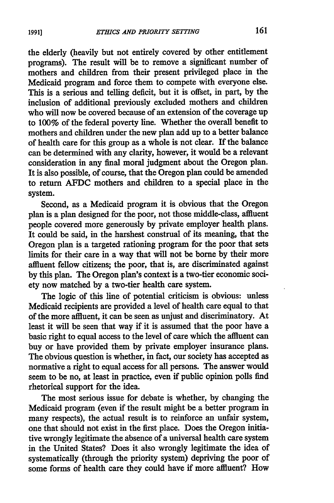the elderly (heavily but not entirely covered **by** other entitlement programs). The result will be to remove a significant number of mothers and children from their present privileged place in the Medicaid program and force them to compete with everyone else. This is a serious and telling deficit, but it is offset, in part, by the inclusion of additional previously excluded mothers and children who will now be covered because of an extension of the coverage up to 100% of the federal poverty line. Whether the overall benefit to mothers and children under the new plan add up to a better balance of health care for this group as a whole is not clear. If the balance can be determined with any clarity, however, it would be a relevant consideration in any final moral judgment about the Oregon plan. It is also possible, of course, that the Oregon plan could be amended to return AFDC mothers and children to a special place in the system.

Second, as a Medicaid program it is obvious that the Oregon plan is a plan designed for the poor, not those middle-class, affluent people covered more generously by private employer health plans. It could be said, in the harshest construal of its meaning, that the Oregon plan is a targeted rationing program for the poor that sets limits for their care in a way that will not be borne by their more affluent fellow citizens; the poor, that is, are discriminated against by this plan. The Oregon plan's context is a two-tier economic society now matched by a two-tier health care system.

The logic of this line of potential criticism is obvious: unless Medicaid recipients are provided a level of health care equal to that of the more affluent, it can be seen as unjust and discriminatory. At least it will be seen that way if it is assumed that the poor have a basic right to equal access to the level of care which the affluent can buy or have provided them by private employer insurance plans. The obvious question is whether, in fact, our society has accepted as normative a right to equal access for all persons. The answer would seem to be no, at least in practice, even if public opinion polls find rhetorical support for the idea.

The most serious issue for debate is whether, by changing the Medicaid program (even if the result might be a better program in many respects), the actual result is to reinforce an unfair system, one that should not exist in the first place. Does the Oregon initiative wrongly legitimate the absence of a universal health care system in the United States? Does it also wrongly legitimate the idea of systematically (through the priority system) depriving the poor of some forms of health care they could have if more affluent? How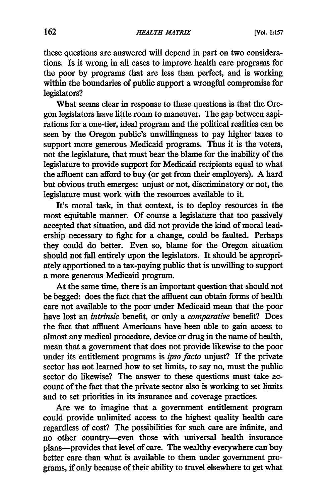these questions are answered will depend in part on two considerations. Is it wrong in all cases to improve health care programs for the poor by programs that are less than perfect, and is working within the boundaries of public support a wrongful compromise for legislators?

What seems clear in response to these questions is that the Oregon legislators have little room to maneuver. The gap between aspirations for a one-tier, ideal program and the political realities can be seen **by** the Oregon public's unwillingness to pay higher taxes to support more generous Medicaid programs. Thus it is the voters, not the legislature, that must bear the blame for the inability of the legislature to provide support for Medicaid recipients equal to what the affluent can afford to buy (or get from their employers). **A** hard but obvious truth emerges: unjust or not, discriminatory or not, the legislature must work with the resources available to it.

It's moral task, in that context, is to deploy resources in the most equitable manner. **Of** course a legislature that too passively accepted that situation, and did not provide the kind of moral leadership necessary to fight for a change, could be faulted. Perhaps they could do better. Even so, blame for the Oregon situation should not fall entirely upon the legislators. It should be appropriately apportioned to a tax-paying public that is unwilling to support a more generous Medicaid program.

At the same time, there is an important question that should not be begged: does the fact that the affluent **can** obtain forms of health care not available to the poor under Medicaid mean that the poor have lost an *intrinsic* benefit, or only a *comparative* benefit? Does the fact that affluent Americans have been able to gain access to almost any medical procedure, device or drug in the name of health, mean that a government that does not provide likewise to the poor under its entitlement programs is *ipso facto* unjust? If the private sector has not learned how to set limits, to say no, must the public sector do likewise? The answer to these questions must take account of the fact that the private sector also is working to set limits and to set priorities in its insurance and coverage practices.

Are we to imagine that a government entitlement program could provide unlimited access to the highest quality health care regardless of cost? The possibilities for such care are infinite, and no other country-even those with universal health insurance plans-provides that level of care. The wealthy everywhere can buy better care than what is available to them under government programs, if only because of their ability to travel elsewhere to get what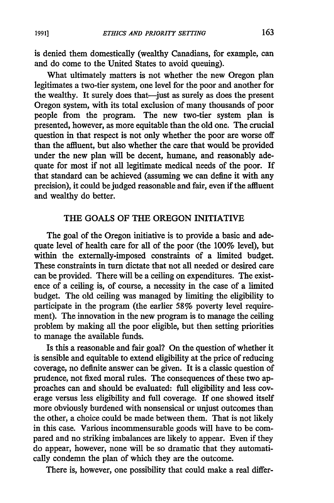is denied them domestically (wealthy Canadians, for example, can and do come to the United States to avoid queuing).

What ultimately matters is not whether the new Oregon plan legitimates a two-tier system, one level for the poor and another for the wealthy. It surely does that-just as surely as does the present Oregon system, with its total exclusion of many thousands of poor people from the program. The new two-tier system plan is presented, however, as more equitable than the old one. The crucial question in that respect is not only whether the poor are worse off than the affluent, but also whether the care that would be provided under the new plan will be decent, humane, and reasonably adequate for most if not all legitimate medical needs of the poor. If that standard can be achieved (assuming we can define it with any precision), it could be judged reasonable and fair, even if the affluent and wealthy do better.

#### THE GOALS OF THE OREGON INITIATIVE

The goal of the Oregon initiative is to provide a basic and adequate level of health care for all of the poor (the 100% level), but within the externally-imposed constraints of a limited budget. These constraints in turn dictate that not all needed or desired care can be provided. There will be a ceiling on expenditures. The existence of a ceiling is, of course, a necessity in the case of a limited budget. The old ceiling was managed by limiting the eligibility to participate in the program (the earlier 58% poverty level requirement). The innovation in the new program is to manage the ceiling problem by making all the poor eligible, but then setting priorities to manage the available funds.

Is this a reasonable and fair goal? On the question of whether it is sensible and equitable to extend eligibility at the price of reducing coverage, no definite answer can be given. It is a classic question of prudence, not fixed moral rules. The consequences of these two approaches can and should be evaluated: full eligibility and less coverage versus less eligibility and full coverage. If one showed itself more obviously burdened with nonsensical or unjust outcomes than the other, a choice could be made between them. That is not likely in this case. Various incommensurable goods will have to be compared and no striking imbalances are likely to appear. Even if they do appear, however, none will be so dramatic that they automatically condemn the plan of which they are the outcome.

There is, however, one possibility that could make a real differ-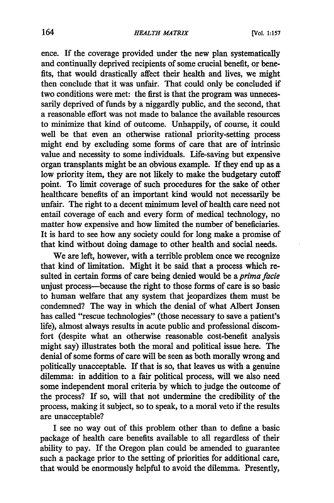ence. If the coverage provided under the new plan systematically and continually deprived recipients of some crucial benefit, or benefits, that would drastically affect their health and lives, we might then conclude that it was unfair. That could only be concluded if two conditions were met: the first is that the program was unnecessarily deprived of funds by a niggardly public, and the second, that a reasonable effort was not made to balance the available resources to minimize that kind of outcome. Unhappily, of course, it could well be that even an otherwise rational priority-setting process might end by excluding some forms of care that are of intrinsic value and necessity to some individuals. Life-saving but expensive organ transplants might be an obvious example. If they end up as a low priority item, they are not likely to make the budgetary cutoff point. To limit coverage of such procedures for the sake of other healthcare benefits of an important kind would not necessarily be unfair. The right to a decent minimum level of health care need not entail coverage of each and every form of medical technology, no matter how expensive and how limited the number of beneficiaries. It is hard to see how any society could for long make a promise of that kind without doing damage to other health and social needs.

We are left, however, with a terrible problem once we recognize that kind of limitation. Might it be said that a process which resulted in certain forms of care being denied would be a *prima facie* unjust process-because the right to those forms of care is so basic to human welfare that any system that jeopardizes them must be condemned? The way in which the denial of what Albert Jonsen has called "rescue technologies" (those necessary to save a patient's life), almost always results in acute public and professional discomfort (despite what an otherwise reasonable cost-benefit analysis might say) illustrates both the moral and political issue here. The denial of some forms of care will be seen as both morally wrong and politically unacceptable. If that is so, that leaves us with a genuine dilemma: in addition to a fair political process, will we also need some independent moral criteria by which to judge the outcome of the process? If so, will that not undermine the credibility of the process, making it subject, so to speak, to a moral veto if the results are unacceptable?

I see no way out of this problem other than to define a basic package of health care benefits available to all regardless of their ability to pay. If the Oregon plan could be amended to guarantee such a package prior to the setting of priorities for additional care, that would be enormously helpful to avoid the dilemma. Presently,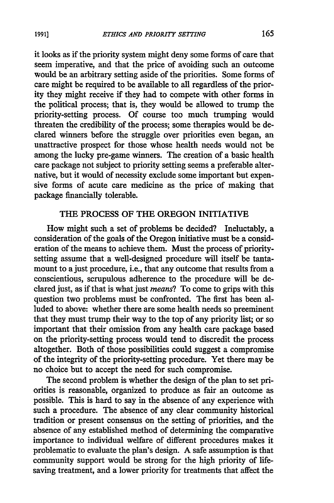it looks as if the priority system might deny some forms of care that seem imperative, and that the price of avoiding such an outcome would be an arbitrary setting aside of the priorities. Some forms of care might be required to be available to all regardless of the priority they might receive if they had to compete with other forms in the political process; that is, they would be allowed to trump the priority-setting process. Of course too much trumping would threaten the credibility of the process; some therapies would be declared winners before the struggle over priorities even began, an unattractive prospect for those whose health needs would not be among the lucky pre-game winners. The creation of a basic health care package not subject to priority setting seems a preferable alternative, but it would of necessity exclude some important but expensive forms of acute care medicine as the price of making that package financially tolerable.

#### THE PROCESS OF THE OREGON INITIATIVE

How might such a set of problems be decided? Ineluctably, a consideration of the goals of the Oregon initiative must be a consideration of the means to achieve them. Must the process of prioritysetting assume that a well-designed procedure will itself be tantamount to a just procedure, i.e., that any outcome that results from a conscientious, scrupulous adherence to the procedure will be declared just, as if that is what just *means?* To come to grips with this question two problems must be confronted. The first has been alluded to above: whether there are some health needs so preeminent that they must trump their way to the top of any priority list; or so important that their omission from any health care package based on the priority-setting process would tend to discredit the process altogether. Both of those possibilities could suggest a compromise of the integrity of the priority-setting procedure. Yet there may be no choice but to accept the need for such compromise.

The second problem is whether the design of the plan to set priorities is reasonable, organized to produce as fair an outcome as possible. This is hard to say in the absence of any experience with such a procedure. The absence of any clear community historical tradition or present consensus on the setting of priorities, and the absence of any established method of determining the comparative importance to individual welfare of different procedures makes it problematic to evaluate the plan's design. A safe assumption is that community support would be strong for the high priority of lifesaving treatment, and a lower priority for treatments that affect the

**1991]**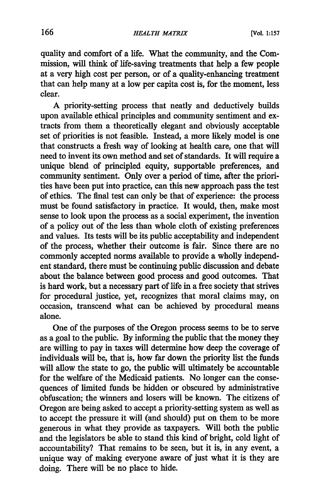quality and comfort of a life. What the community, and the Commission, will think of life-saving treatments that help a few people at a very high cost per person, or of a quality-enhancing treatment that can help many at a low per capita cost is, for the moment, less clear.

A priority-setting process that neatly and deductively builds upon available ethical principles and community sentiment and extracts from them a theoretically elegant and obviously acceptable set of priorities is not feasible. Instead, a more likely model is one that constructs a fresh way of looking at health care, one that will need to invent its own method and set of standards. It will require a unique blend of principled equity, supportable preferences, and community sentiment. Only over a period of time, after the priorities have been put into practice, can this new approach pass the test of ethics. The final test can only be that of experience: the process must be found satisfactory in practice. It would, then, make most sense to look upon the process as a social experiment, the invention of a policy out of the less than whole cloth of existing preferences and values. Its tests will be its public acceptability and independent of the process, whether their outcome is fair. Since there are no commonly accepted norms available to provide a wholly independent standard, there must be continuing public discussion and debate about the balance between good process and good outcomes. That is hard work, but a necessary part of life in a free society that strives for procedural justice, yet, recognizes that moral claims may, on occasion, transcend what can be achieved by procedural means alone.

One of the purposes of the Oregon process seems to be to serve as a goal to the public. By informing the public that the money they are willing to pay in taxes will determine how deep the coverage of individuals will be, that is, how far down the priority list the funds will allow the state to go, the public will ultimately be accountable for the welfare of the Medicaid patients. No longer can the consequences of limited funds be hidden or obscured by administrative obfuscation; the winners and losers will be known. The citizens of Oregon are being asked to accept a priority-setting system as well as to accept the pressure it will (and should) put on them to be more generous in what they provide as taxpayers. Will both the public and the legislators be able to stand this kind of bright, cold light of accountability? That remains to be seen, but it is, in any event, a unique way of making everyone aware of just what it is they are doing. There will be no place to hide.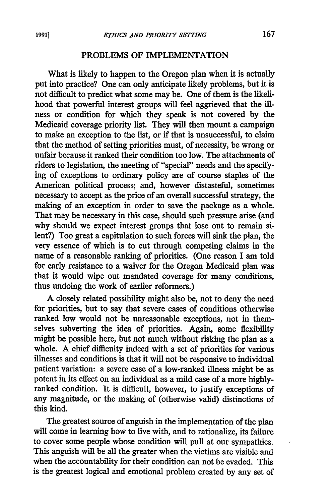#### PROBLEMS OF IMPLEMENTATION

What is likely to happen to the Oregon plan when it is actually put into practice? One can only anticipate likely problems, but it is not difficult to predict what some may be. One of them is the likelihood that powerful interest groups will feel aggrieved that the illness or condition for which they speak is not covered by the Medicaid coverage priority list. They will then mount a campaign to make an exception to the list, or if that is unsuccessful, to claim that the method of setting priorities must, of necessity, be wrong or unfair because it ranked their condition too low. The attachments of riders to legislation, the meeting of "special" needs and the specifying of exceptions to ordinary policy are of course staples of the American political process; and, however distasteful, sometimes necessary to accept as the price of an overall successful strategy, the making of an exception in order to save the package as a whole. That may be necessary in this case, should such pressure arise (and why should we expect interest groups that lose out to remain silent?) Too great a capitulation to such forces will sink the plan, the very essence of which is to cut through competing claims in the name of a reasonable ranking of priorities. (One reason I am told for early resistance to a waiver for the Oregon Medicaid plan was that it would wipe out mandated coverage for many conditions, thus undoing the work of earlier reformers.)

A closely related possibility might also be, not to deny the need for priorities, but to say that severe cases of conditions otherwise ranked low would not be unreasonable exceptions, not in themselves subverting the idea of priorities. Again, some flexibility might be possible here, but not much without risking the plan as a whole. A chief difficulty indeed with a set of priorities for various illnesses and conditions is that it will not be responsive to individual patient variation: a severe case of a low-ranked illness might be as potent in its effect on an individual as a mild case of a more highlyranked condition. It is difficult, however, to justify exceptions of any magnitude, or the making of (otherwise valid) distinctions of this kind.

The greatest source of anguish in the implementation of the plan will come in learning how to live with, and to rationalize, its failure to cover some people whose condition will pull at our sympathies. This anguish will be all the greater when the victims are visible and when the accountability for their condition can not be evaded. This is the greatest logical and emotional problem created **by** any set of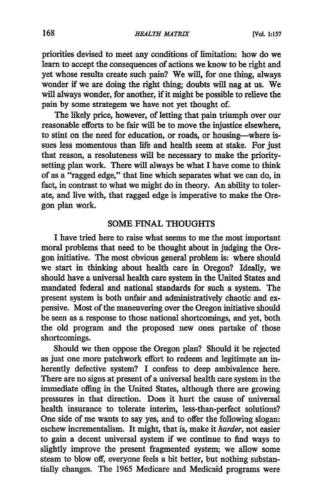priorities devised to meet any conditions of limitation: how do we learn to accept the consequences of actions we know to be right and yet whose results create such pain? We will, for one thing, always wonder if we are doing the right thing; doubts will nag at us. We will always wonder, for another, if it might be possible to relieve the pain by some strategem we have not yet thought of.

The likely price, however, of letting that pain triumph over our reasonable efforts to be fair will be to move the injustice elsewhere, to stint on the need for education, or roads, or housing-where issues less momentous than life and health seem at stake. For just that reason, a resoluteness will be necessary to make the prioritysetting plan work. There will always be what I have come to think of as a "ragged edge," that line which separates what we can do, in fact, in contrast to what we might do in theory. An ability to tolerate, and live with, that ragged edge is imperative to make the Oregon plan work.

#### SOME FINAL THOUGHTS

I have tried here to raise what seems to me the most important moral problems that need to be thought about in judging the Oregon initiative. The most obvious general problem is: where should we start in thinking about health care in Oregon? Ideally, we should have a universal health care system in the United States and mandated federal and national standards for such a system. The present system is both unfair and administratively chaotic and expensive. Most of the maneuvering over the Oregon initiative should be seen as a response to those national shortcomings, and yet, both the old program and the proposed new ones partake of those shortcomings.

Should we then oppose the Oregon plan? Should it be rejected as just one more patchwork effort to redeem and legitimate an mherently defective system? I confess to deep ambivalence here. There are no signs at present of a universal health care system in the immediate offing in the United States, although there are growing pressures in that direction. Does it hurt the cause of universal health insurance to tolerate interim, less-than-perfect solutions? One side of me wants to say yes, and to offer the following slogan: eschew incrementalism. It might, that is, make it *harder,* not easier to gain a decent universal system if we continue to find ways to slightly improve the present fragmented system; we allow some steam to blow off, everyone feels a bit better, but nothing substantially changes. The 1965 Medicare and Medicaid programs were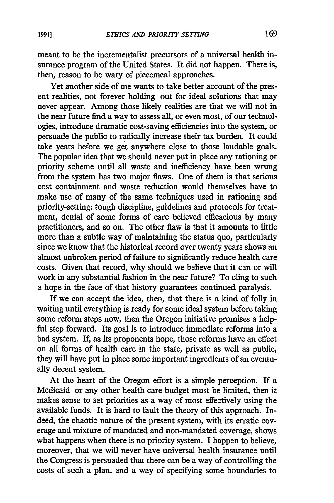meant to be the incrementalist precursors of a universal health insurance program of the United States. It did not happen. There is, then, reason to be wary of piecemeal approaches.

Yet another side of me wants to take better account of the present realities, not forever holding out for ideal solutions that may never appear. Among those likely realities are that we will not in the near future find a way to assess all, or even most, of our technologies, introduce dramatic cost-saving efficiencies into the system, or persuade the public to radically increase their tax burden. It could take years before we get anywhere close to those laudable goals. The popular idea that we should never put in place any rationing or priority scheme until all waste and inefficiency have been wrung from the system has two major flaws. One of them is that serious cost containment and waste reduction would themselves have to make use of many of the same techniques used in rationing and priority-setting: tough discipline, guidelines and protocols for treatment, denial of some forms of care believed efficacious by many practitioners, and so on. The other flaw is that it amounts to little more than a subtle way of maintaining the status quo, particularly since we know that the historical record over twenty years shows an almost unbroken period of failure to significantly reduce health care costs. Given that record, why should we believe that it can or will work in any substantial fashion in the near future? To cling to such a hope in the face of that history guarantees continued paralysis.

If we can accept the idea, then, that there is a kind of folly in waiting until everything is ready for some ideal system before taking some reform steps now, then the Oregon initiative promises a helpful step forward. Its goal is to introduce immediate reforms into a bad system. If, as its proponents hope, those reforms have an effect on all forms of health care in the state, private as well as public, they will have put in place some important ingredients of an eventually decent system.

At the heart of the Oregon effort is a simple perception. If a Medicaid or any other health care budget must be limited, then it makes sense to set priorities as a way of most effectively using the available funds. It is hard to fault the theory of this approach. Indeed, the chaotic nature of the present system, with its erratic coverage and mixture of mandated and non-mandated coverage, shows what happens when there is no priority system. I happen to believe, moreover, that we will never have universal health insurance until the Congress is persuaded that there can be a way of controlling the costs of such a plan, and a way of specifying some boundaries to